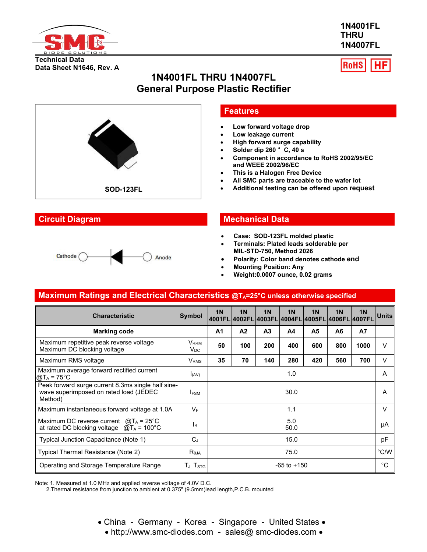

**1N4001FL THRU 1N4007FL**



# **1N4001FL THRU 1N4007FL General Purpose Plastic Rectifier**





## **Features**

- **Low forward voltage drop**
- **Low leakage current**
- **High forward surge capability**
- **Solder dip 260** °**C, 40 s**
- **Component in accordance to RoHS 2002/95/EC and WEEE 2002/96/EC**
- **This is a Halogen Free Device**
- **All SMC parts are traceable to the wafer lot**
- **SOD Additional testing can be offered upon request -123FL**

## **Circuit Diagram Mechanical Data**

- **Case: SOD-123FL molded plastic**
- **Terminals: Plated leads solderable per MIL-STD-750, Method 2026**
- **Polarity: Color band denotes cathode end**
- **Mounting Position: Any**
- **Weight:0.0007 ounce, 0.02 grams**

# **Maximum Ratings and Electrical Characteristics @TA=25°C unless otherwise specified**

| <b>Characteristic</b>                                                                                   | Symbol                       | 1 <sub>N</sub>  | 1 <sub>N</sub><br> 4001FL 4002FL 4003FL 4004FL 4005FL 4006FL 4007FL | 1 <sub>N</sub> | 1 <sub>N</sub> | 1 <sub>N</sub> | 1 <sub>N</sub> | <b>1N</b> | <b>Units</b> |
|---------------------------------------------------------------------------------------------------------|------------------------------|-----------------|---------------------------------------------------------------------|----------------|----------------|----------------|----------------|-----------|--------------|
| <b>Marking code</b>                                                                                     |                              | A <sub>1</sub>  | A <sub>2</sub>                                                      | A <sub>3</sub> | A4             | A <sub>5</sub> | A <sub>6</sub> | <b>A7</b> |              |
| Maximum repetitive peak reverse voltage<br>Maximum DC blocking voltage                                  | V <sub>RRM</sub><br>$V_{DC}$ | 50              | 100                                                                 | 200            | 400            | 600            | 800            | 1000      | $\vee$       |
| Maximum RMS voltage                                                                                     | <b>V</b> <sub>RMS</sub>      | 35              | 70                                                                  | 140            | 280            | 420            | 560            | 700       | V            |
| Maximum average forward rectified current<br>$[@T_A = 75^{\circ}C]$                                     | I(AV)                        | 1.0             |                                                                     |                | A              |                |                |           |              |
| Peak forward surge current 8.3ms single half sine-<br>wave superimposed on rated load (JEDEC<br>Method) | <b>IFSM</b>                  | 30.0            |                                                                     |                | A              |                |                |           |              |
| Maximum instantaneous forward voltage at 1.0A                                                           | $V_F$                        | 1.1             |                                                                     |                | V              |                |                |           |              |
| Maximum DC reverse current $@T_A = 25^\circ C$<br>at rated DC blocking voltage $@T_A = 100°C$           | IR                           | 5.0<br>50.0     |                                                                     |                | μA             |                |                |           |              |
| Typical Junction Capacitance (Note 1)                                                                   | C <sub>1</sub>               | 15.0            |                                                                     |                | pF             |                |                |           |              |
| Typical Thermal Resistance (Note 2)                                                                     | $R_{\theta JA}$              | 75.0            |                                                                     |                | °C/W           |                |                |           |              |
| Operating and Storage Temperature Range                                                                 | $T_{J}$ , $T_{STG}$          | $-65$ to $+150$ |                                                                     |                | °C             |                |                |           |              |

Note: 1. Measured at 1.0 MHz and applied reverse voltage of 4.0V D.C.

2.Thermal resistance from junction to ambient at 0.375" (9.5mm)lead length,P.C.B. mounted

- China Germany Korea Singapore United States
	- http://www.smc-diodes.com sales@ smc-diodes.com •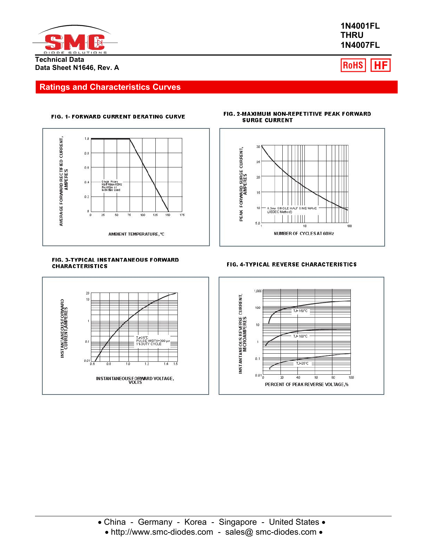

**1N4001FL THRU 1N4007FL**



## **Ratings and Characteristics Curves**

### FIG. 1- FORWARD CURRENT DERATING CURVE



#### FIG. 3-TYPICAL INSTANTANEOUS FORWARD **CHARACTERISTICS**



#### FIG. 2-MAXIMUM NON-REPETITIVE PEAK FORWARD **SURGE CURRENT**



### FIG. 4-TYPICAL REVERSE CHARACTERISTICS



• http://www.smc-diodes.com - sales@ smc-diodes.com •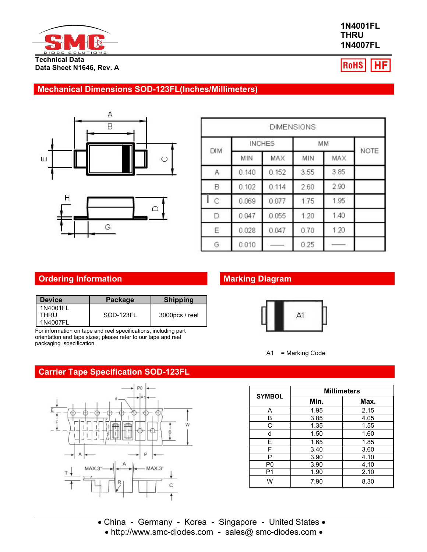

## **1N4001FL THRU 1N4007FL**

RoHS |HF

# **Mechanical Dimensions SOD-123FL(Inches/Millimeters)**





|                |       |               | <b>DIMENSIONS</b> |      |      |
|----------------|-------|---------------|-------------------|------|------|
|                |       | <b>INCHES</b> |                   | MM   |      |
| DIM            | MIN   | MAX           | MIN               | MAX  | NOTE |
| A              | 0.140 | 0.152         | 3.55              | 3.85 |      |
| B              | 0.102 | 0.114         | 2.60              | 2.90 |      |
| $\overline{C}$ | 0.069 | 0.077         | 1.75              | 1.95 |      |
| D              | 0.047 | 0.055         | 1.20              | 1.40 |      |
| Ε              | 0.028 | 0.047         | 0.70              | 1.20 |      |
| G              | 0.010 |               | 0.25              |      |      |

# **Ordering Information Marking Diagram**

| l Device                     | Package   | <b>Shipping</b> |
|------------------------------|-----------|-----------------|
| 1N4001FL<br>THRU<br>1N4007FL | SOD-123FL | 3000pcs / reel  |

For information on tape and reel specifications, including part orientation and tape sizes, please refer to our tape and reel packaging specification.

## **Carrier Tape Specification SOD-123FL**





A1 = Marking Code

| <b>SYMBOL</b>  | <b>Millimeters</b> |      |  |  |  |  |
|----------------|--------------------|------|--|--|--|--|
|                | Min.               | Max. |  |  |  |  |
| A              | 1.95               | 2.15 |  |  |  |  |
| в              | 3.85               | 4.05 |  |  |  |  |
| С              | 1.35               | 1.55 |  |  |  |  |
| d              | 1.50               | 1.60 |  |  |  |  |
| E.             | 1.65               | 1.85 |  |  |  |  |
| F              | 3.40               | 3.60 |  |  |  |  |
| Р              | 3.90               | 4.10 |  |  |  |  |
| P <sub>0</sub> | 3.90               | 4.10 |  |  |  |  |
| P1             | 1.90               | 2.10 |  |  |  |  |
| W              | 7.90               | 8.30 |  |  |  |  |